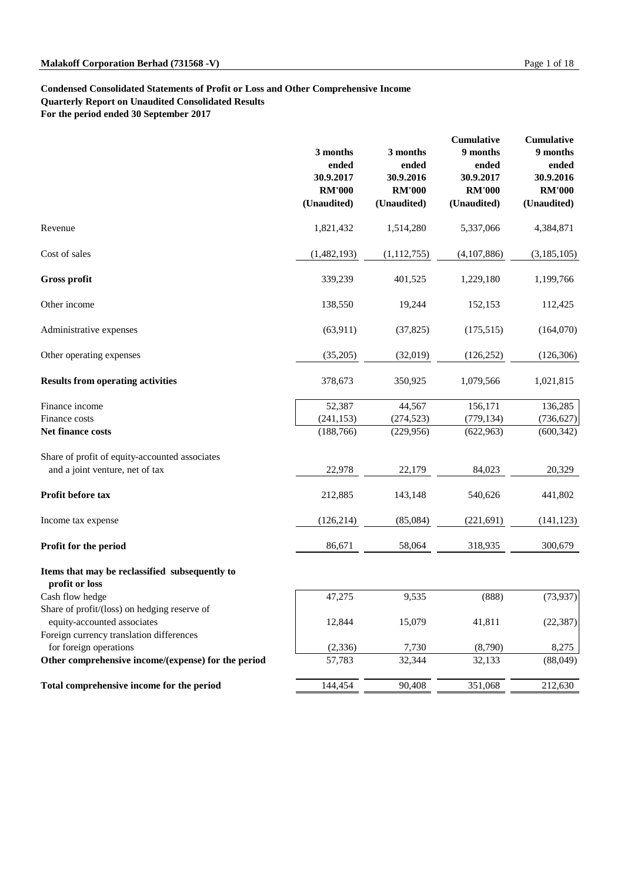#### **Condensed Consolidated Statements of Profit or Loss and Other Comprehensive Income**

**Quarterly Report on Unaudited Consolidated Results**

**For the period ended 30 September 2017**

|                                                                  | 3 months<br>ended<br>30.9.2017<br><b>RM'000</b><br>(Unaudited) | 3 months<br>ended<br>30.9.2016<br><b>RM'000</b><br>(Unaudited) | <b>Cumulative</b><br>9 months<br>ended<br>30.9.2017<br><b>RM'000</b><br>(Unaudited) | Cumulative<br>9 months<br>ended<br>30.9.2016<br><b>RM'000</b><br>(Unaudited) |
|------------------------------------------------------------------|----------------------------------------------------------------|----------------------------------------------------------------|-------------------------------------------------------------------------------------|------------------------------------------------------------------------------|
| Revenue                                                          | 1,821,432                                                      | 1,514,280                                                      | 5,337,066                                                                           | 4,384,871                                                                    |
| Cost of sales                                                    | (1,482,193)                                                    | (1, 112, 755)                                                  | (4,107,886)                                                                         | (3,185,105)                                                                  |
| <b>Gross profit</b>                                              | 339,239                                                        | 401,525                                                        | 1,229,180                                                                           | 1,199,766                                                                    |
| Other income                                                     | 138,550                                                        | 19,244                                                         | 152,153                                                                             | 112,425                                                                      |
| Administrative expenses                                          | (63, 911)                                                      | (37, 825)                                                      | (175, 515)                                                                          | (164,070)                                                                    |
| Other operating expenses                                         | (35,205)                                                       | (32,019)                                                       | (126, 252)                                                                          | (126, 306)                                                                   |
| <b>Results from operating activities</b>                         | 378,673                                                        | 350,925                                                        | 1,079,566                                                                           | 1,021,815                                                                    |
| Finance income                                                   | 52,387                                                         | 44,567                                                         | 156,171                                                                             | 136,285                                                                      |
| Finance costs                                                    | (241, 153)                                                     | (274, 523)                                                     | (779, 134)                                                                          | (736, 627)                                                                   |
| Net finance costs                                                | (188, 766)                                                     | (229, 956)                                                     | (622, 963)                                                                          | (600, 342)                                                                   |
| Share of profit of equity-accounted associates                   |                                                                |                                                                |                                                                                     |                                                                              |
| and a joint venture, net of tax                                  | 22,978                                                         | 22,179                                                         | 84,023                                                                              | 20,329                                                                       |
| Profit before tax                                                | 212,885                                                        | 143,148                                                        | 540,626                                                                             | 441,802                                                                      |
| Income tax expense                                               | (126, 214)                                                     | (85,084)                                                       | (221, 691)                                                                          | (141, 123)                                                                   |
| Profit for the period                                            | 86,671                                                         | 58,064                                                         | 318,935                                                                             | 300,679                                                                      |
| Items that may be reclassified subsequently to<br>profit or loss |                                                                |                                                                |                                                                                     |                                                                              |
| Cash flow hedge                                                  | 47,275                                                         | 9,535                                                          | (888)                                                                               | (73, 937)                                                                    |
| Share of profit/(loss) on hedging reserve of                     |                                                                |                                                                |                                                                                     |                                                                              |
| equity-accounted associates                                      | 12,844                                                         | 15,079                                                         | 41,811                                                                              | (22, 387)                                                                    |
| Foreign currency translation differences                         |                                                                |                                                                |                                                                                     |                                                                              |
| for foreign operations                                           | (2, 336)                                                       | 7,730                                                          | (8,790)                                                                             | 8,275                                                                        |
| Other comprehensive income/(expense) for the period              | 57,783                                                         | 32,344                                                         | 32,133                                                                              | (88,049)                                                                     |
| Total comprehensive income for the period                        | 144,454                                                        | 90,408                                                         | 351,068                                                                             | 212,630                                                                      |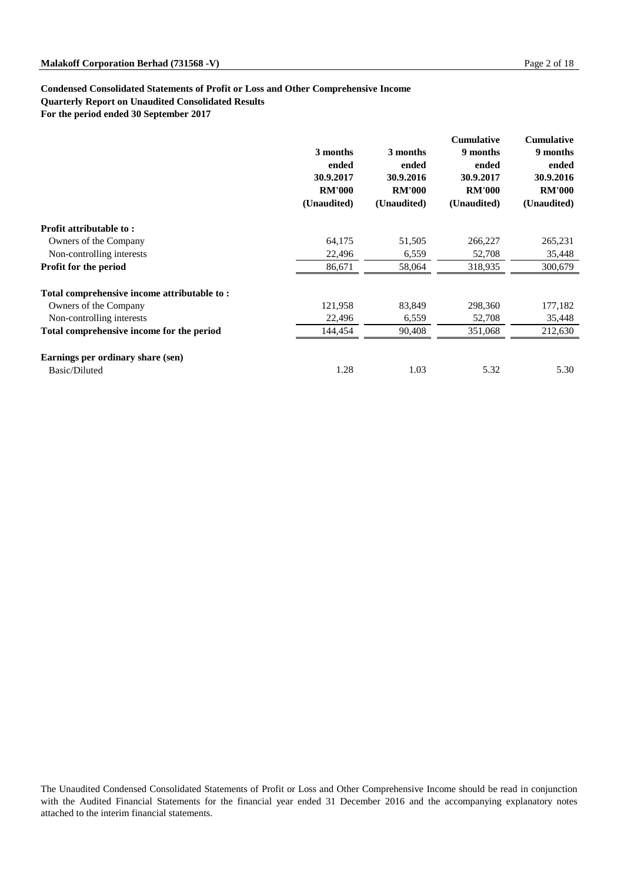#### **Condensed Consolidated Statements of Profit or Loss and Other Comprehensive Income**

**Quarterly Report on Unaudited Consolidated Results**

**For the period ended 30 September 2017**

|                                             | 3 months<br>ended<br>30.9.2017<br><b>RM'000</b><br>(Unaudited) | 3 months<br>ended<br>30.9.2016<br><b>RM'000</b><br>(Unaudited) | <b>Cumulative</b><br>9 months<br>ended<br>30.9.2017<br><b>RM'000</b><br>(Unaudited) | <b>Cumulative</b><br>9 months<br>ended<br>30.9.2016<br><b>RM'000</b><br>(Unaudited) |
|---------------------------------------------|----------------------------------------------------------------|----------------------------------------------------------------|-------------------------------------------------------------------------------------|-------------------------------------------------------------------------------------|
| Profit attributable to:                     |                                                                |                                                                |                                                                                     |                                                                                     |
| Owners of the Company                       | 64,175                                                         | 51,505                                                         | 266,227                                                                             | 265,231                                                                             |
| Non-controlling interests                   | 22,496                                                         | 6,559                                                          | 52,708                                                                              | 35,448                                                                              |
| Profit for the period                       | 86,671                                                         | 58,064                                                         | 318,935                                                                             | 300,679                                                                             |
| Total comprehensive income attributable to: |                                                                |                                                                |                                                                                     |                                                                                     |
| Owners of the Company                       | 121,958                                                        | 83,849                                                         | 298,360                                                                             | 177,182                                                                             |
| Non-controlling interests                   | 22,496                                                         | 6,559                                                          | 52,708                                                                              | 35,448                                                                              |
| Total comprehensive income for the period   | 144,454                                                        | 90,408                                                         | 351,068                                                                             | 212,630                                                                             |
| Earnings per ordinary share (sen)           |                                                                |                                                                |                                                                                     |                                                                                     |
| Basic/Diluted                               | 1.28                                                           | 1.03                                                           | 5.32                                                                                | 5.30                                                                                |

The Unaudited Condensed Consolidated Statements of Profit or Loss and Other Comprehensive Income should be read in conjunction with the Audited Financial Statements for the financial year ended 31 December 2016 and the accompanying explanatory notes attached to the interim financial statements.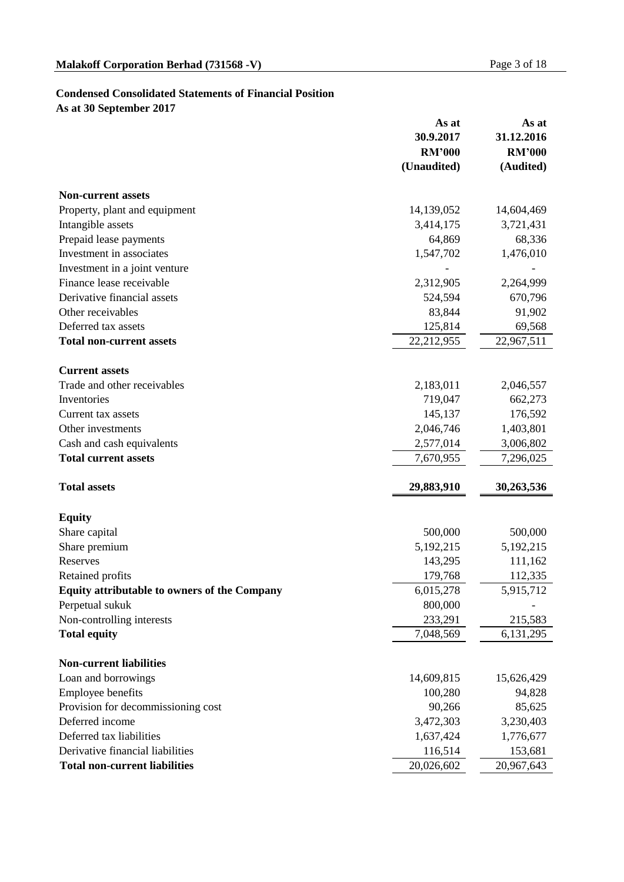#### **Condensed Consolidated Statements of Financial Position**

**As at 30 September 2017**

|                                              | As at         | As at         |
|----------------------------------------------|---------------|---------------|
|                                              | 30.9.2017     | 31.12.2016    |
|                                              | <b>RM'000</b> | <b>RM'000</b> |
|                                              | (Unaudited)   | (Audited)     |
| <b>Non-current assets</b>                    |               |               |
| Property, plant and equipment                | 14,139,052    | 14,604,469    |
| Intangible assets                            | 3,414,175     | 3,721,431     |
| Prepaid lease payments                       | 64,869        | 68,336        |
| Investment in associates                     | 1,547,702     | 1,476,010     |
| Investment in a joint venture                |               |               |
| Finance lease receivable                     | 2,312,905     | 2,264,999     |
| Derivative financial assets                  | 524,594       | 670,796       |
| Other receivables                            | 83,844        | 91,902        |
| Deferred tax assets                          | 125,814       | 69,568        |
| <b>Total non-current assets</b>              | 22,212,955    | 22,967,511    |
| <b>Current assets</b>                        |               |               |
| Trade and other receivables                  | 2,183,011     | 2,046,557     |
| Inventories                                  | 719,047       | 662,273       |
| Current tax assets                           | 145,137       | 176,592       |
| Other investments                            | 2,046,746     | 1,403,801     |
| Cash and cash equivalents                    | 2,577,014     | 3,006,802     |
| <b>Total current assets</b>                  | 7,670,955     | 7,296,025     |
|                                              |               |               |
| <b>Total assets</b>                          | 29,883,910    | 30,263,536    |
| <b>Equity</b>                                |               |               |
| Share capital                                | 500,000       | 500,000       |
| Share premium                                | 5,192,215     | 5, 192, 215   |
| Reserves                                     | 143,295       | 111,162       |
| Retained profits                             | 179,768       | 112,335       |
| Equity attributable to owners of the Company | 6,015,278     | 5,915,712     |
| Perpetual sukuk                              | 800,000       |               |
| Non-controlling interests                    | 233,291       | 215,583       |
| <b>Total equity</b>                          | 7,048,569     | 6,131,295     |
| <b>Non-current liabilities</b>               |               |               |
| Loan and borrowings                          | 14,609,815    | 15,626,429    |
| Employee benefits                            | 100,280       | 94,828        |
| Provision for decommissioning cost           | 90,266        | 85,625        |
| Deferred income                              | 3,472,303     | 3,230,403     |
| Deferred tax liabilities                     | 1,637,424     | 1,776,677     |
| Derivative financial liabilities             | 116,514       | 153,681       |
| <b>Total non-current liabilities</b>         | 20,026,602    | 20,967,643    |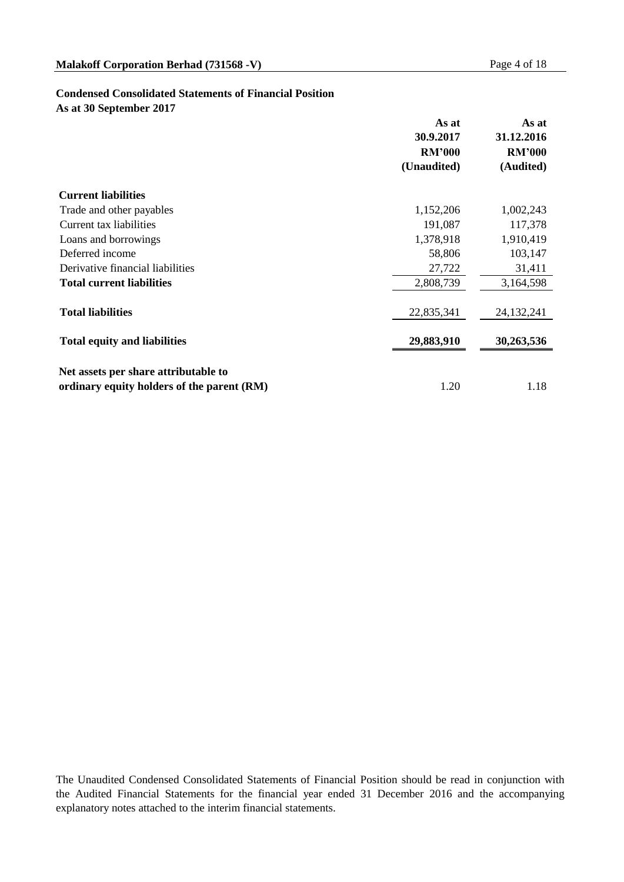#### **Condensed Consolidated Statements of Financial Position**

**As at 30 September 2017**

|                                            | As at<br>30.9.2017 | As at<br>31.12.2016 |  |
|--------------------------------------------|--------------------|---------------------|--|
|                                            | <b>RM'000</b>      | <b>RM'000</b>       |  |
|                                            | (Unaudited)        | (Audited)           |  |
| <b>Current liabilities</b>                 |                    |                     |  |
| Trade and other payables                   | 1,152,206          | 1,002,243           |  |
| Current tax liabilities                    | 191,087            | 117,378             |  |
| Loans and borrowings                       | 1,378,918          | 1,910,419           |  |
| Deferred income                            | 58,806             | 103,147             |  |
| Derivative financial liabilities           | 27,722             | 31,411              |  |
| <b>Total current liabilities</b>           | 2,808,739          | 3,164,598           |  |
| <b>Total liabilities</b>                   | 22,835,341         | 24, 132, 241        |  |
| <b>Total equity and liabilities</b>        | 29,883,910         | 30,263,536          |  |
| Net assets per share attributable to       |                    |                     |  |
| ordinary equity holders of the parent (RM) | 1.20               | 1.18                |  |

The Unaudited Condensed Consolidated Statements of Financial Position should be read in conjunction with the Audited Financial Statements for the financial year ended 31 December 2016 and the accompanying explanatory notes attached to the interim financial statements.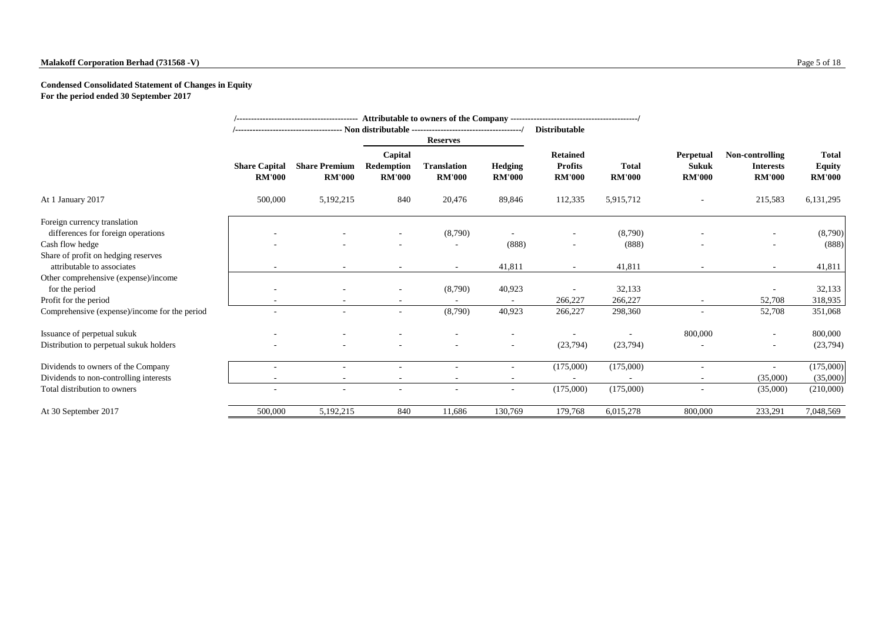#### **Malakoff Corporation Berhad (731568 -V)** Page 5 of 18

#### **Condensed Consolidated Statement of Changes in Equity For the period ended 30 September 2017**

|                                                                                      |                                       |                                       |                                        | <b>Reserves</b>                     |                                 | <b>Distributable</b>                               |                               |                                            |                                                      |                                                |
|--------------------------------------------------------------------------------------|---------------------------------------|---------------------------------------|----------------------------------------|-------------------------------------|---------------------------------|----------------------------------------------------|-------------------------------|--------------------------------------------|------------------------------------------------------|------------------------------------------------|
|                                                                                      | <b>Share Capital</b><br><b>RM'000</b> | <b>Share Premium</b><br><b>RM'000</b> | Capital<br>Redemption<br><b>RM'000</b> | <b>Translation</b><br><b>RM'000</b> | <b>Hedging</b><br><b>RM'000</b> | <b>Retained</b><br><b>Profits</b><br><b>RM'000</b> | <b>Total</b><br><b>RM'000</b> | Perpetual<br><b>Sukuk</b><br><b>RM'000</b> | Non-controlling<br><b>Interests</b><br><b>RM'000</b> | <b>Total</b><br><b>Equity</b><br><b>RM'000</b> |
| At 1 January 2017                                                                    | 500,000                               | 5,192,215                             | 840                                    | 20,476                              | 89,846                          | 112,335                                            | 5,915,712                     |                                            | 215,583                                              | 6,131,295                                      |
| Foreign currency translation<br>differences for foreign operations                   |                                       |                                       |                                        | (8,790)                             |                                 |                                                    | (8,790)                       |                                            |                                                      | (8,790)                                        |
| Cash flow hedge<br>Share of profit on hedging reserves<br>attributable to associates |                                       | $\overline{\phantom{a}}$              | $\overline{\phantom{a}}$               | $\overline{\phantom{a}}$            | (888)<br>41,811                 |                                                    | (888)<br>41,811               |                                            | $\sim$                                               | (888)<br>41,811                                |
| Other comprehensive (expense)/income<br>for the period                               |                                       |                                       | ۰                                      | $\sim$<br>(8,790)                   | 40,923                          |                                                    | 32,133                        |                                            | ۰                                                    | 32,133                                         |
| Profit for the period                                                                |                                       |                                       |                                        |                                     |                                 | 266,227                                            | 266,227                       |                                            | 52,708                                               | 318,935                                        |
| Comprehensive (expense)/income for the period                                        |                                       |                                       | $\sim$                                 | (8,790)                             | 40,923                          | 266,227                                            | 298,360                       |                                            | 52,708                                               | 351,068                                        |
| Issuance of perpetual sukuk                                                          |                                       |                                       |                                        |                                     |                                 |                                                    |                               | 800,000                                    | $\overline{\phantom{a}}$                             | 800,000                                        |
| Distribution to perpetual sukuk holders                                              |                                       |                                       |                                        |                                     | Ξ.                              | (23, 794)                                          | (23,794)                      |                                            | $\sim$                                               | (23,794)                                       |
| Dividends to owners of the Company                                                   |                                       |                                       |                                        |                                     |                                 | (175,000)                                          | (175,000)                     |                                            | ٠                                                    | (175,000)                                      |
| Dividends to non-controlling interests                                               |                                       | $\overline{\phantom{a}}$              | $\overline{\phantom{a}}$               | $\sim$                              | $\sim$                          |                                                    |                               | $\overline{\phantom{a}}$                   | (35,000)                                             | (35,000)                                       |
| Total distribution to owners                                                         |                                       | ٠                                     | $\overline{\phantom{a}}$               | $\overline{\phantom{a}}$            | $\sim$                          | (175,000)                                          | (175,000)                     | $\overline{\phantom{a}}$                   | (35,000)                                             | (210,000)                                      |
| At 30 September 2017                                                                 | 500,000                               | 5,192,215                             | 840                                    | 11,686                              | 130,769                         | 179,768                                            | 6,015,278                     | 800,000                                    | 233,291                                              | 7,048,569                                      |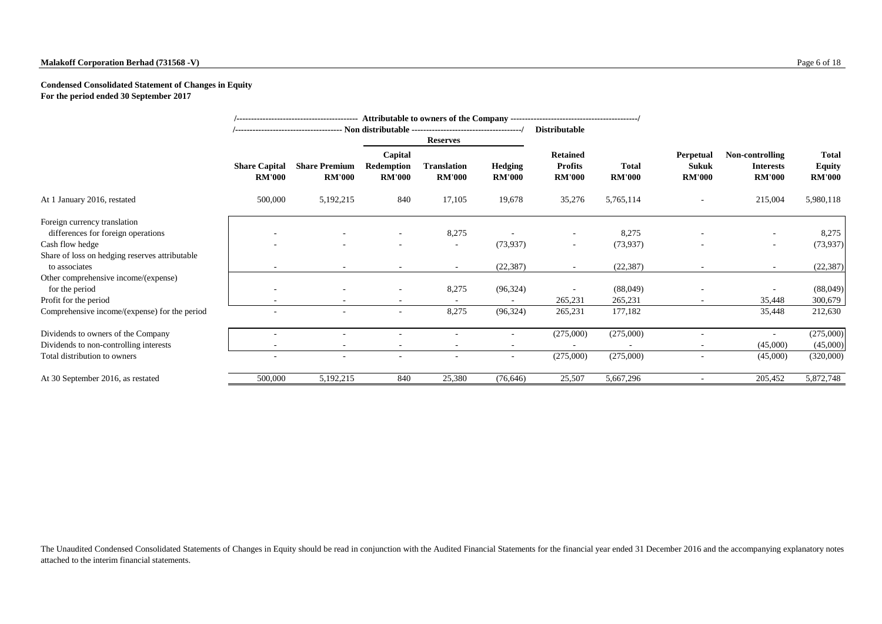#### **Malakoff Corporation Berhad (731568 -V)** Page 6 of 18

#### **Condensed Consolidated Statement of Changes in Equity For the period ended 30 September 2017**

|                                                                 |                                       |                                       |                                        |                                     |                                 | <b>Distributable</b>                               |                               |                                            |                                                      |                                                |
|-----------------------------------------------------------------|---------------------------------------|---------------------------------------|----------------------------------------|-------------------------------------|---------------------------------|----------------------------------------------------|-------------------------------|--------------------------------------------|------------------------------------------------------|------------------------------------------------|
|                                                                 |                                       |                                       |                                        | <b>Reserves</b>                     |                                 |                                                    |                               |                                            |                                                      |                                                |
|                                                                 | <b>Share Capital</b><br><b>RM'000</b> | <b>Share Premium</b><br><b>RM'000</b> | Capital<br>Redemption<br><b>RM'000</b> | <b>Translation</b><br><b>RM'000</b> | <b>Hedging</b><br><b>RM'000</b> | <b>Retained</b><br><b>Profits</b><br><b>RM'000</b> | <b>Total</b><br><b>RM'000</b> | Perpetual<br><b>Sukuk</b><br><b>RM'000</b> | Non-controlling<br><b>Interests</b><br><b>RM'000</b> | <b>Total</b><br><b>Equity</b><br><b>RM'000</b> |
| At 1 January 2016, restated                                     | 500,000                               | 5,192,215                             | 840                                    | 17,105                              | 19,678                          | 35,276                                             | 5,765,114                     |                                            | 215,004                                              | 5,980,118                                      |
| Foreign currency translation                                    |                                       |                                       |                                        |                                     |                                 |                                                    |                               |                                            |                                                      |                                                |
| differences for foreign operations                              |                                       |                                       |                                        | 8,275                               |                                 | $\overline{\phantom{a}}$                           | 8,275                         |                                            |                                                      | 8,275                                          |
| Cash flow hedge                                                 |                                       |                                       |                                        | $\overline{\phantom{a}}$            | (73, 937)                       | $\overline{\phantom{a}}$                           | (73, 937)                     |                                            | ۰.                                                   | (73, 937)                                      |
| Share of loss on hedging reserves attributable<br>to associates |                                       |                                       |                                        | $\overline{\phantom{a}}$            | (22, 387)                       |                                                    | (22, 387)                     |                                            | $\overline{\phantom{a}}$                             | (22, 387)                                      |
| Other comprehensive income/(expense)                            |                                       |                                       |                                        |                                     |                                 |                                                    |                               |                                            |                                                      |                                                |
| for the period                                                  |                                       |                                       |                                        | 8,275                               | (96, 324)                       |                                                    | (88,049)                      |                                            |                                                      | (88,049)                                       |
| Profit for the period                                           |                                       |                                       |                                        |                                     |                                 | 265,231                                            | 265,231                       |                                            | 35,448                                               | 300,679                                        |
| Comprehensive income/(expense) for the period                   |                                       |                                       | $\overline{\phantom{a}}$               | 8,275                               | (96, 324)                       | 265,231                                            | 177,182                       |                                            | 35,448                                               | 212,630                                        |
| Dividends to owners of the Company                              |                                       |                                       |                                        |                                     | ۰                               | (275,000)                                          | (275,000)                     |                                            | $\sim$                                               | (275,000)                                      |
| Dividends to non-controlling interests                          |                                       | $\overline{\phantom{a}}$              |                                        |                                     |                                 |                                                    |                               |                                            | (45,000)                                             | (45,000)                                       |
| Total distribution to owners                                    | ÷.                                    | $\sim$                                |                                        |                                     | $\sim$                          | (275,000)                                          | (275,000)                     | $\overline{\phantom{a}}$                   | (45,000)                                             | (320,000)                                      |
| At 30 September 2016, as restated                               | 500,000                               | 5,192,215                             | 840                                    | 25,380                              | (76,646)                        | 25,507                                             | 5,667,296                     |                                            | 205,452                                              | 5,872,748                                      |

The Unaudited Condensed Consolidated Statements of Changes in Equity should be read in conjunction with the Audited Financial Statements for the financial year ended 31 December 2016 and the accompanying explanatory notes attached to the interim financial statements.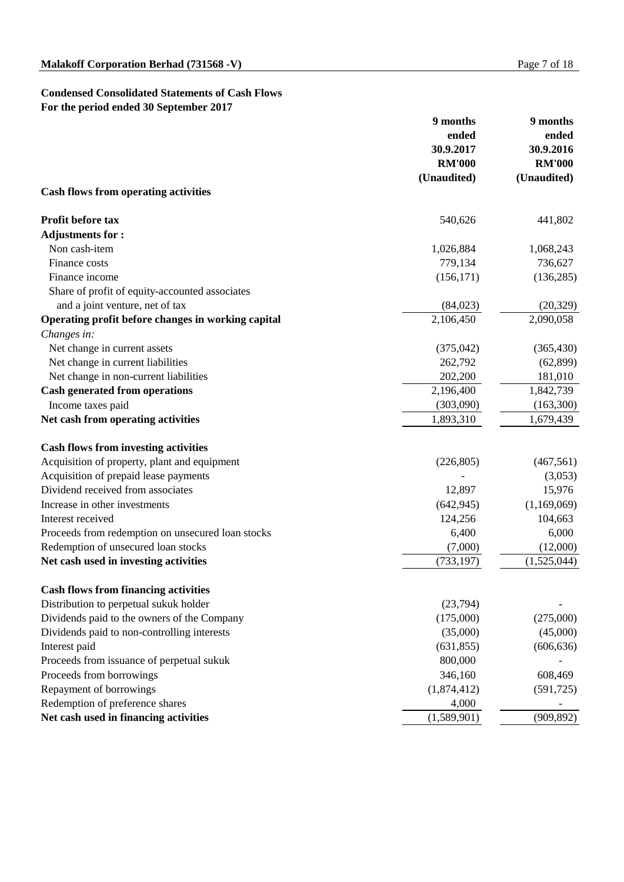## **Condensed Consolidated Statements of Cash Flows For the period ended 30 September 2017**

|                                                    | 9 months           | 9 months      |  |
|----------------------------------------------------|--------------------|---------------|--|
|                                                    | ended<br>30.9.2017 | ended         |  |
|                                                    |                    | 30.9.2016     |  |
|                                                    | <b>RM'000</b>      | <b>RM'000</b> |  |
|                                                    | (Unaudited)        | (Unaudited)   |  |
| <b>Cash flows from operating activities</b>        |                    |               |  |
| Profit before tax                                  | 540,626            | 441,802       |  |
| <b>Adjustments for:</b>                            |                    |               |  |
| Non cash-item                                      | 1,026,884          | 1,068,243     |  |
| Finance costs                                      | 779,134            | 736,627       |  |
| Finance income                                     | (156, 171)         | (136, 285)    |  |
| Share of profit of equity-accounted associates     |                    |               |  |
| and a joint venture, net of tax                    | (84,023)           | (20, 329)     |  |
| Operating profit before changes in working capital | 2,106,450          | 2,090,058     |  |
| Changes in:                                        |                    |               |  |
| Net change in current assets                       | (375, 042)         | (365, 430)    |  |
| Net change in current liabilities                  | 262,792            | (62, 899)     |  |
| Net change in non-current liabilities              | 202,200            | 181,010       |  |
| <b>Cash generated from operations</b>              | 2,196,400          | 1,842,739     |  |
| Income taxes paid                                  | (303,090)          | (163,300)     |  |
| Net cash from operating activities                 | 1,893,310          | 1,679,439     |  |
| <b>Cash flows from investing activities</b>        |                    |               |  |
| Acquisition of property, plant and equipment       | (226, 805)         | (467, 561)    |  |
| Acquisition of prepaid lease payments              |                    | (3,053)       |  |
| Dividend received from associates                  | 12,897             | 15,976        |  |
| Increase in other investments                      | (642, 945)         | (1,169,069)   |  |
| Interest received                                  | 124,256            | 104,663       |  |
| Proceeds from redemption on unsecured loan stocks  | 6,400              | 6,000         |  |
| Redemption of unsecured loan stocks                | (7,000)            | (12,000)      |  |
| Net cash used in investing activities              | (733, 197)         | (1,525,044)   |  |
| <b>Cash flows from financing activities</b>        |                    |               |  |
| Distribution to perpetual sukuk holder             | (23,794)           |               |  |
| Dividends paid to the owners of the Company        | (175,000)          | (275,000)     |  |
| Dividends paid to non-controlling interests        | (35,000)           | (45,000)      |  |
| Interest paid                                      | (631, 855)         | (606, 636)    |  |
| Proceeds from issuance of perpetual sukuk          | 800,000            |               |  |
| Proceeds from borrowings                           | 346,160            | 608,469       |  |
| Repayment of borrowings                            | (1,874,412)        | (591, 725)    |  |
| Redemption of preference shares                    | 4,000              |               |  |
| Net cash used in financing activities              | (1,589,901)        | (909, 892)    |  |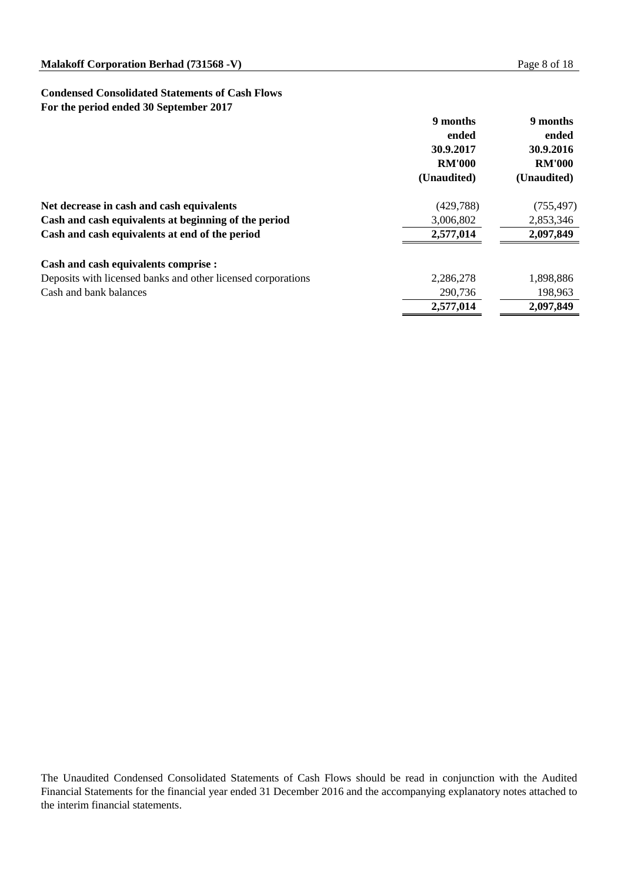#### **Condensed Consolidated Statements of Cash Flows For the period ended 30 September 2017**

|                                                              | 9 months<br>ended<br>30.9.2017<br><b>RM'000</b> | 9 months<br>ended<br>30.9.2016<br><b>RM'000</b> |
|--------------------------------------------------------------|-------------------------------------------------|-------------------------------------------------|
|                                                              | (Unaudited)                                     | (Unaudited)                                     |
| Net decrease in cash and cash equivalents                    | (429, 788)                                      | (755, 497)                                      |
| Cash and cash equivalents at beginning of the period         | 3,006,802                                       | 2,853,346                                       |
| Cash and cash equivalents at end of the period               | 2,577,014                                       | 2,097,849                                       |
| Cash and cash equivalents comprise :                         |                                                 |                                                 |
| Deposits with licensed banks and other licensed corporations | 2,286,278                                       | 1,898,886                                       |
| Cash and bank balances                                       | 290,736                                         | 198,963                                         |
|                                                              | 2,577,014                                       | 2,097,849                                       |

The Unaudited Condensed Consolidated Statements of Cash Flows should be read in conjunction with the Audited Financial Statements for the financial year ended 31 December 2016 and the accompanying explanatory notes attached to the interim financial statements.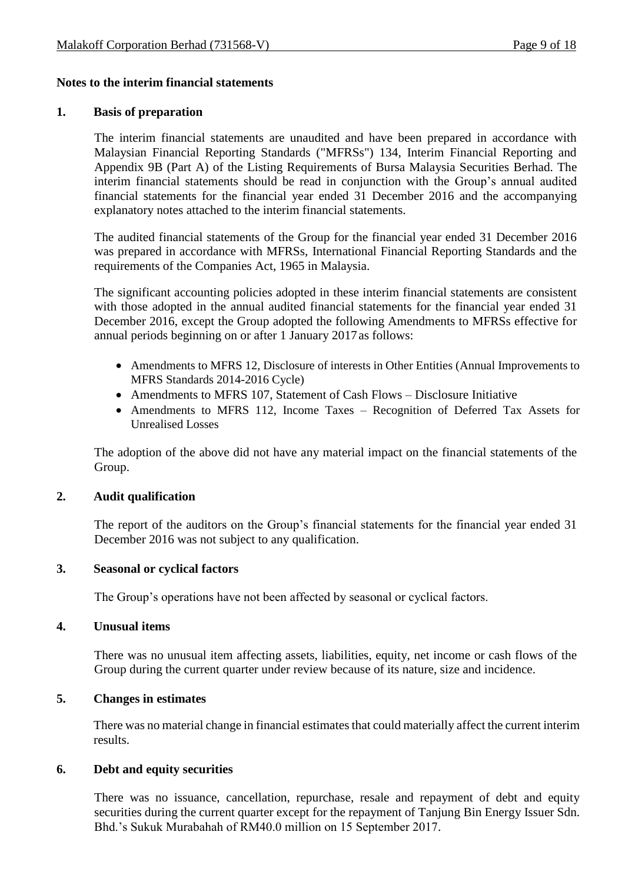### **Notes to the interim financial statements**

#### **1. Basis of preparation**

The interim financial statements are unaudited and have been prepared in accordance with Malaysian Financial Reporting Standards ("MFRSs") 134, Interim Financial Reporting and Appendix 9B (Part A) of the Listing Requirements of Bursa Malaysia Securities Berhad. The interim financial statements should be read in conjunction with the Group's annual audited financial statements for the financial year ended 31 December 2016 and the accompanying explanatory notes attached to the interim financial statements.

The audited financial statements of the Group for the financial year ended 31 December 2016 was prepared in accordance with MFRSs, International Financial Reporting Standards and the requirements of the Companies Act, 1965 in Malaysia.

The significant accounting policies adopted in these interim financial statements are consistent with those adopted in the annual audited financial statements for the financial year ended 31 December 2016, except the Group adopted the following Amendments to MFRSs effective for annual periods beginning on or after 1 January 2017as follows:

- Amendments to MFRS 12, Disclosure of interests in Other Entities (Annual Improvements to MFRS Standards 2014-2016 Cycle)
- Amendments to MFRS 107, Statement of Cash Flows Disclosure Initiative
- Amendments to MFRS 112, Income Taxes Recognition of Deferred Tax Assets for Unrealised Losses

The adoption of the above did not have any material impact on the financial statements of the Group.

#### **2. Audit qualification**

The report of the auditors on the Group's financial statements for the financial year ended 31 December 2016 was not subject to any qualification.

#### **3. Seasonal or cyclical factors**

The Group's operations have not been affected by seasonal or cyclical factors.

#### **4. Unusual items**

There was no unusual item affecting assets, liabilities, equity, net income or cash flows of the Group during the current quarter under review because of its nature, size and incidence.

### **5. Changes in estimates**

There was no material change in financial estimates that could materially affect the current interim results.

#### **6. Debt and equity securities**

There was no issuance, cancellation, repurchase, resale and repayment of debt and equity securities during the current quarter except for the repayment of Tanjung Bin Energy Issuer Sdn. Bhd.'s Sukuk Murabahah of RM40.0 million on 15 September 2017.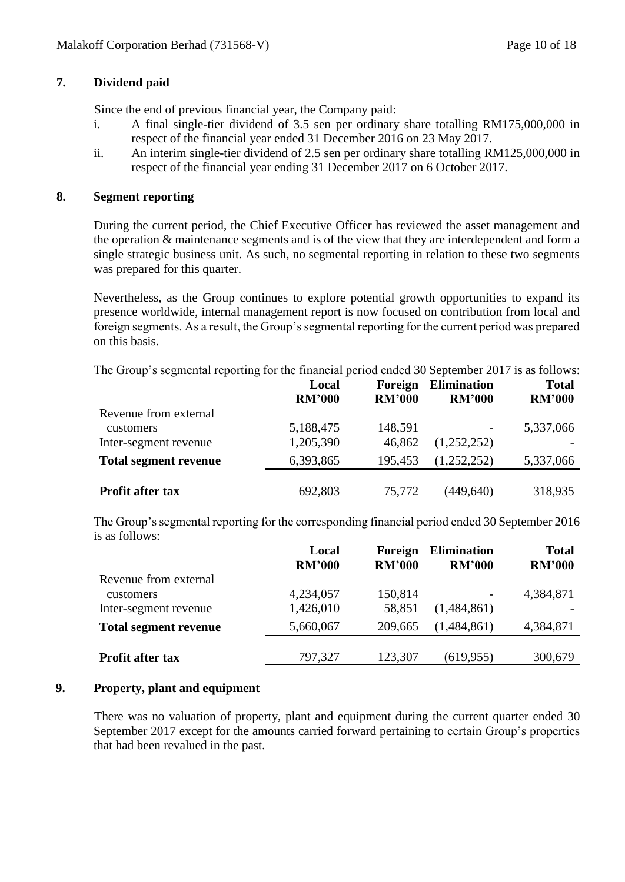## **7. Dividend paid**

Since the end of previous financial year, the Company paid:

- i. A final single-tier dividend of 3.5 sen per ordinary share totalling RM175,000,000 in respect of the financial year ended 31 December 2016 on 23 May 2017.
- ii. An interim single-tier dividend of 2.5 sen per ordinary share totalling RM125,000,000 in respect of the financial year ending 31 December 2017 on 6 October 2017.

## **8. Segment reporting**

During the current period, the Chief Executive Officer has reviewed the asset management and the operation & maintenance segments and is of the view that they are interdependent and form a single strategic business unit. As such, no segmental reporting in relation to these two segments was prepared for this quarter.

Nevertheless, as the Group continues to explore potential growth opportunities to expand its presence worldwide, internal management report is now focused on contribution from local and foreign segments. As a result, the Group's segmental reporting for the current period was prepared on this basis.

The Group's segmental reporting for the financial period ended 30 September 2017 is as follows:

|                              | Local<br><b>RM'000</b> | Foreign<br><b>RM'000</b> | <b>Elimination</b><br><b>RM'000</b> | <b>Total</b><br><b>RM'000</b> |
|------------------------------|------------------------|--------------------------|-------------------------------------|-------------------------------|
| Revenue from external        |                        |                          |                                     |                               |
| customers                    | 5,188,475              | 148,591                  |                                     | 5,337,066                     |
| Inter-segment revenue        | 1,205,390              | 46,862                   | (1,252,252)                         |                               |
| <b>Total segment revenue</b> | 6,393,865              | 195,453                  | (1,252,252)                         | 5,337,066                     |
|                              |                        |                          |                                     |                               |
| <b>Profit after tax</b>      | 692,803                | 75,772                   | (449,640)                           | 318,935                       |

The Group's segmental reporting for the corresponding financial period ended 30 September 2016 is as follows:

|                              | Local<br><b>RM'000</b> | Foreign<br><b>RM'000</b> | <b>Elimination</b><br><b>RM'000</b> | <b>Total</b><br><b>RM'000</b> |
|------------------------------|------------------------|--------------------------|-------------------------------------|-------------------------------|
| Revenue from external        |                        |                          |                                     |                               |
| customers                    | 4,234,057              | 150,814                  |                                     | 4,384,871                     |
| Inter-segment revenue        | 1,426,010              | 58,851                   | (1,484,861)                         |                               |
| <b>Total segment revenue</b> | 5,660,067              | 209,665                  | (1,484,861)                         | 4,384,871                     |
|                              |                        |                          |                                     |                               |
| <b>Profit after tax</b>      | 797,327                | 123,307                  | (619, 955)                          | 300,679                       |

## **9. Property, plant and equipment**

There was no valuation of property, plant and equipment during the current quarter ended 30 September 2017 except for the amounts carried forward pertaining to certain Group's properties that had been revalued in the past.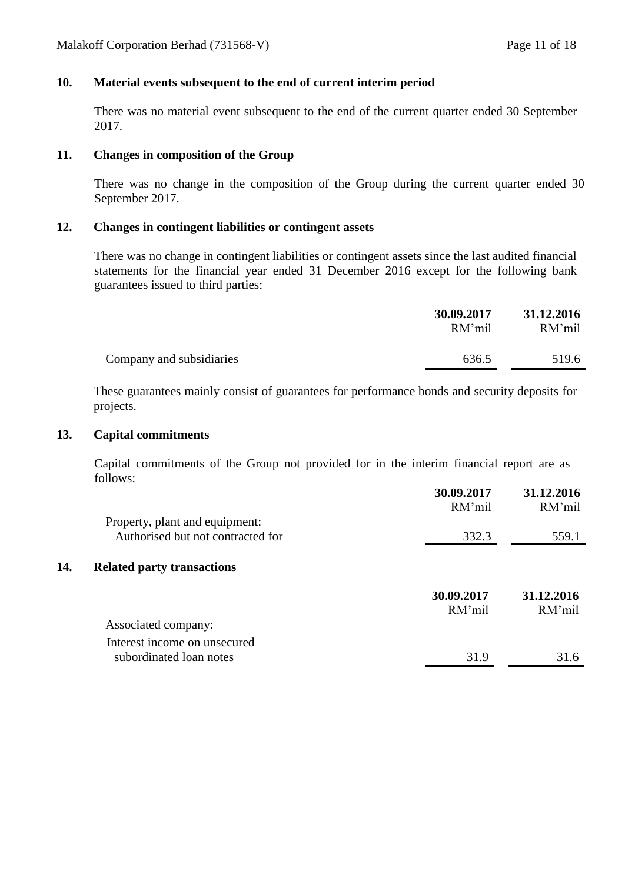## **10. Material events subsequent to the end of current interim period**

There was no material event subsequent to the end of the current quarter ended 30 September 2017.

### **11. Changes in composition of the Group**

There was no change in the composition of the Group during the current quarter ended 30 September 2017.

### **12. Changes in contingent liabilities or contingent assets**

There was no change in contingent liabilities or contingent assets since the last audited financial statements for the financial year ended 31 December 2016 except for the following bank guarantees issued to third parties:

|                          | 30.09.2017<br>RM'mil | 31.12.2016<br>RM'mil |
|--------------------------|----------------------|----------------------|
| Company and subsidiaries | 636.5                | 519.6                |

These guarantees mainly consist of guarantees for performance bonds and security deposits for projects.

#### **13. Capital commitments**

Capital commitments of the Group not provided for in the interim financial report are as follows:

|     |                                   | 30.09.2017<br>RM'mil | 31.12.2016<br>RM'mil |
|-----|-----------------------------------|----------------------|----------------------|
|     | Property, plant and equipment:    |                      |                      |
|     | Authorised but not contracted for | 332.3                | 559.1                |
| 14. | <b>Related party transactions</b> |                      |                      |
|     |                                   | 30.09.2017           | 31.12.2016           |
|     |                                   | RM'mil               | RM'mil               |
|     | Associated company:               |                      |                      |
|     | Interest income on unsecured      |                      |                      |
|     | subordinated loan notes           | 31.9                 | 31.6                 |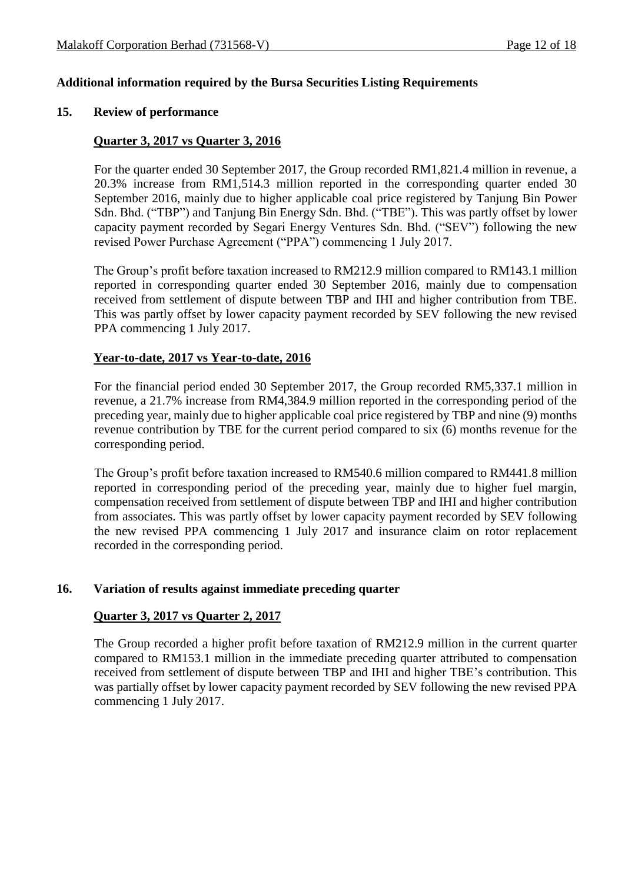## **Additional information required by the Bursa Securities Listing Requirements**

#### **15. Review of performance**

### **Quarter 3, 2017 vs Quarter 3, 2016**

For the quarter ended 30 September 2017, the Group recorded RM1,821.4 million in revenue, a 20.3% increase from RM1,514.3 million reported in the corresponding quarter ended 30 September 2016, mainly due to higher applicable coal price registered by Tanjung Bin Power Sdn. Bhd. ("TBP") and Tanjung Bin Energy Sdn. Bhd. ("TBE"). This was partly offset by lower capacity payment recorded by Segari Energy Ventures Sdn. Bhd. ("SEV") following the new revised Power Purchase Agreement ("PPA") commencing 1 July 2017.

The Group's profit before taxation increased to RM212.9 million compared to RM143.1 million reported in corresponding quarter ended 30 September 2016, mainly due to compensation received from settlement of dispute between TBP and IHI and higher contribution from TBE. This was partly offset by lower capacity payment recorded by SEV following the new revised PPA commencing 1 July 2017.

#### **Year-to-date, 2017 vs Year-to-date, 2016**

For the financial period ended 30 September 2017, the Group recorded RM5,337.1 million in revenue, a 21.7% increase from RM4,384.9 million reported in the corresponding period of the preceding year, mainly due to higher applicable coal price registered by TBP and nine (9) months revenue contribution by TBE for the current period compared to six (6) months revenue for the corresponding period.

The Group's profit before taxation increased to RM540.6 million compared to RM441.8 million reported in corresponding period of the preceding year, mainly due to higher fuel margin, compensation received from settlement of dispute between TBP and IHI and higher contribution from associates. This was partly offset by lower capacity payment recorded by SEV following the new revised PPA commencing 1 July 2017 and insurance claim on rotor replacement recorded in the corresponding period.

#### **16. Variation of results against immediate preceding quarter**

#### **Quarter 3, 2017 vs Quarter 2, 2017**

The Group recorded a higher profit before taxation of RM212.9 million in the current quarter compared to RM153.1 million in the immediate preceding quarter attributed to compensation received from settlement of dispute between TBP and IHI and higher TBE's contribution. This was partially offset by lower capacity payment recorded by SEV following the new revised PPA commencing 1 July 2017.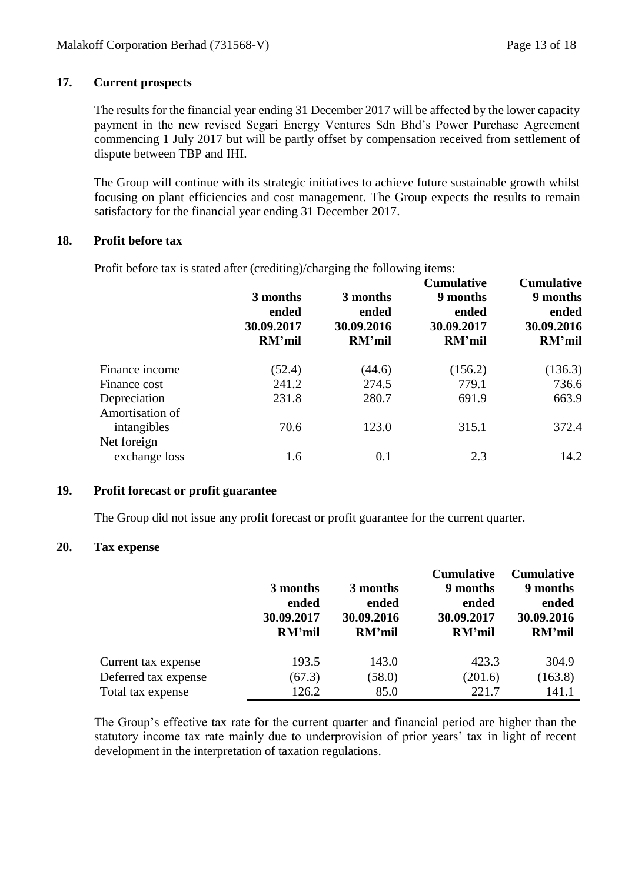## **17. Current prospects**

The results for the financial year ending 31 December 2017 will be affected by the lower capacity payment in the new revised Segari Energy Ventures Sdn Bhd's Power Purchase Agreement commencing 1 July 2017 but will be partly offset by compensation received from settlement of dispute between TBP and IHI.

The Group will continue with its strategic initiatives to achieve future sustainable growth whilst focusing on plant efficiencies and cost management. The Group expects the results to remain satisfactory for the financial year ending 31 December 2017.

## **18. Profit before tax**

Profit before tax is stated after (crediting)/charging the following items:

|                                 | 3 months<br>ended<br>30.09.2017<br>RM'mil | 3 months<br>ended<br>30.09.2016<br>RM'mil | <b>Cumulative</b><br>9 months<br>ended<br>30.09.2017<br>RM'mil | <b>Cumulative</b><br>9 months<br>ended<br>30.09.2016<br>RM'mil |
|---------------------------------|-------------------------------------------|-------------------------------------------|----------------------------------------------------------------|----------------------------------------------------------------|
| Finance income                  | (52.4)                                    | (44.6)                                    | (156.2)                                                        | (136.3)                                                        |
| Finance cost                    | 241.2                                     | 274.5                                     | 779.1                                                          | 736.6                                                          |
| Depreciation<br>Amortisation of | 231.8                                     | 280.7                                     | 691.9                                                          | 663.9                                                          |
| intangibles<br>Net foreign      | 70.6                                      | 123.0                                     | 315.1                                                          | 372.4                                                          |
| exchange loss                   | 1.6                                       | 0.1                                       | 2.3                                                            | 14.2                                                           |

## **19. Profit forecast or profit guarantee**

The Group did not issue any profit forecast or profit guarantee for the current quarter.

### **20. Tax expense**

|                      |            |               | <b>Cumulative</b> | <b>Cumulative</b> |
|----------------------|------------|---------------|-------------------|-------------------|
|                      | 3 months   | 3 months      | 9 months          | 9 months          |
|                      | ended      | ended         | ended             | ended             |
|                      | 30.09.2017 | 30.09.2016    | 30.09.2017        | 30.09.2016        |
|                      | RM'mil     | <b>RM'mil</b> | RM'mil            | RM'mil            |
| Current tax expense  | 193.5      | 143.0         | 423.3             | 304.9             |
| Deferred tax expense | (67.3)     | (58.0)        | (201.6)           | (163.8)           |
| Total tax expense    | 126.2      | 85.0          | 221.7             | 141.1             |

The Group's effective tax rate for the current quarter and financial period are higher than the statutory income tax rate mainly due to underprovision of prior years' tax in light of recent development in the interpretation of taxation regulations.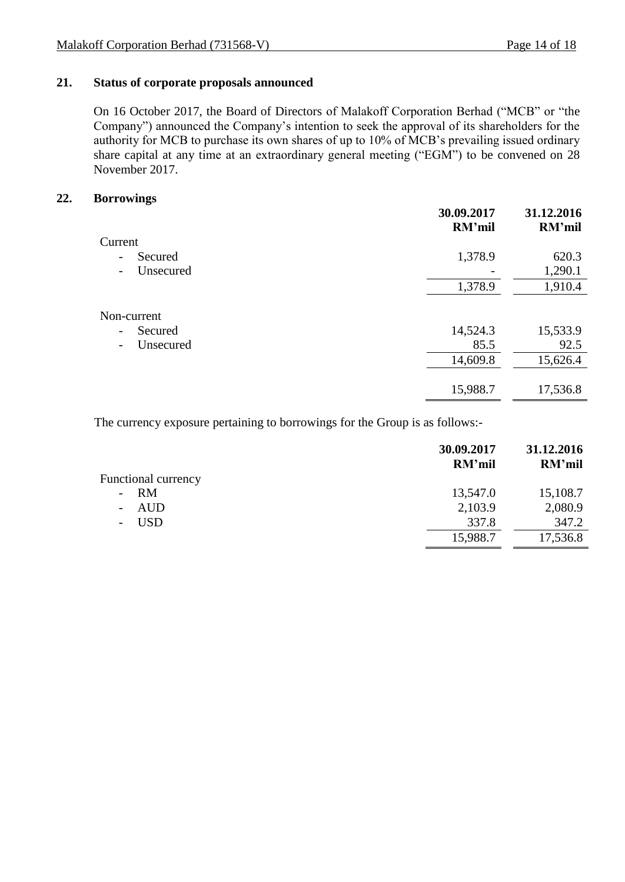## **21. Status of corporate proposals announced**

On 16 October 2017, the Board of Directors of Malakoff Corporation Berhad ("MCB" or "the Company") announced the Company's intention to seek the approval of its shareholders for the authority for MCB to purchase its own shares of up to 10% of MCB's prevailing issued ordinary share capital at any time at an extraordinary general meeting ("EGM") to be convened on 28 November 2017.

## **22. Borrowings**

| 30.09.2017<br>RM'mil | 31.12.2016<br><b>RM'mil</b> |
|----------------------|-----------------------------|
|                      |                             |
| 1,378.9              | 620.3                       |
|                      | 1,290.1                     |
| 1,378.9              | 1,910.4                     |
|                      |                             |
| 14,524.3             | 15,533.9                    |
| 85.5                 | 92.5                        |
| 14,609.8             | 15,626.4                    |
|                      |                             |
| 15,988.7             | 17,536.8                    |
|                      |                             |

The currency exposure pertaining to borrowings for the Group is as follows:-

|                                        | 30.09.2017<br>RM'mil | 31.12.2016<br>RM'mil |
|----------------------------------------|----------------------|----------------------|
| Functional currency                    |                      |                      |
| $- RM$                                 | 13,547.0             | 15,108.7             |
| <b>AUD</b><br>$\blacksquare$           | 2,103.9              | 2,080.9              |
| <b>USD</b><br>$\overline{\phantom{a}}$ | 337.8                | 347.2                |
|                                        | 15,988.7             | 17,536.8             |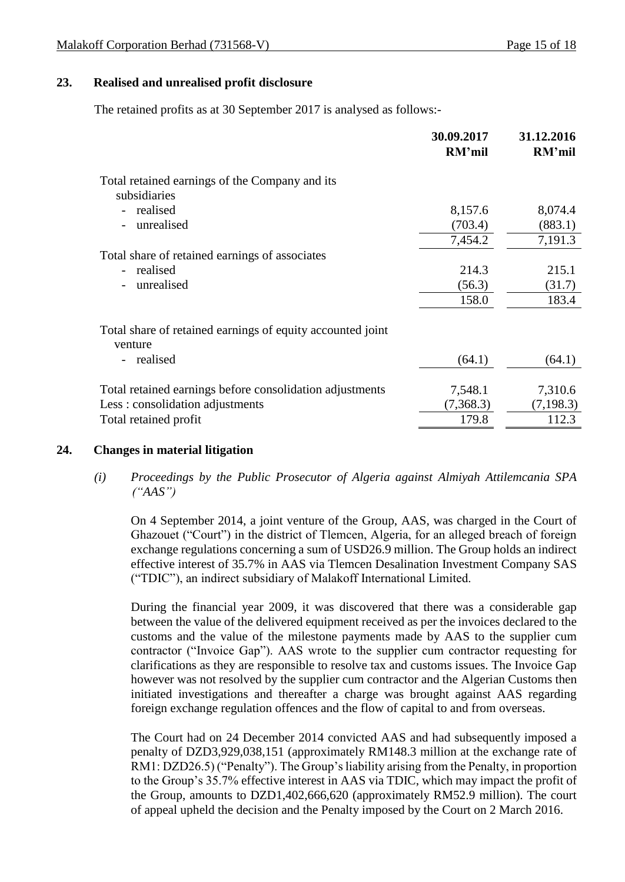## **23. Realised and unrealised profit disclosure**

The retained profits as at 30 September 2017 is analysed as follows:-

|                                                                       | 30.09.2017<br>RM'mil | 31.12.2016<br>RM'mil |
|-----------------------------------------------------------------------|----------------------|----------------------|
| Total retained earnings of the Company and its<br>subsidiaries        |                      |                      |
| realised                                                              | 8,157.6              | 8,074.4              |
| unrealised                                                            | (703.4)              | (883.1)              |
|                                                                       | 7,454.2              | 7,191.3              |
| Total share of retained earnings of associates                        |                      |                      |
| realised                                                              | 214.3                | 215.1                |
| unrealised                                                            | (56.3)               | (31.7)               |
|                                                                       | 158.0                | 183.4                |
| Total share of retained earnings of equity accounted joint<br>venture |                      |                      |
| realised                                                              | (64.1)               | (64.1)               |
| Total retained earnings before consolidation adjustments              | 7,548.1              | 7,310.6              |
| Less: consolidation adjustments                                       | (7,368.3)            | (7, 198.3)           |
| Total retained profit                                                 | 179.8                | 112.3                |
|                                                                       |                      |                      |

#### **24. Changes in material litigation**

*(i) Proceedings by the Public Prosecutor of Algeria against Almiyah Attilemcania SPA ("AAS")*

On 4 September 2014, a joint venture of the Group, AAS, was charged in the Court of Ghazouet ("Court") in the district of Tlemcen, Algeria, for an alleged breach of foreign exchange regulations concerning a sum of USD26.9 million. The Group holds an indirect effective interest of 35.7% in AAS via Tlemcen Desalination Investment Company SAS ("TDIC"), an indirect subsidiary of Malakoff International Limited.

During the financial year 2009, it was discovered that there was a considerable gap between the value of the delivered equipment received as per the invoices declared to the customs and the value of the milestone payments made by AAS to the supplier cum contractor ("Invoice Gap"). AAS wrote to the supplier cum contractor requesting for clarifications as they are responsible to resolve tax and customs issues. The Invoice Gap however was not resolved by the supplier cum contractor and the Algerian Customs then initiated investigations and thereafter a charge was brought against AAS regarding foreign exchange regulation offences and the flow of capital to and from overseas.

The Court had on 24 December 2014 convicted AAS and had subsequently imposed a penalty of DZD3,929,038,151 (approximately RM148.3 million at the exchange rate of RM1: DZD26.5) ("Penalty"). The Group's liability arising from the Penalty, in proportion to the Group's 35.7% effective interest in AAS via TDIC, which may impact the profit of the Group, amounts to DZD1,402,666,620 (approximately RM52.9 million). The court of appeal upheld the decision and the Penalty imposed by the Court on 2 March 2016.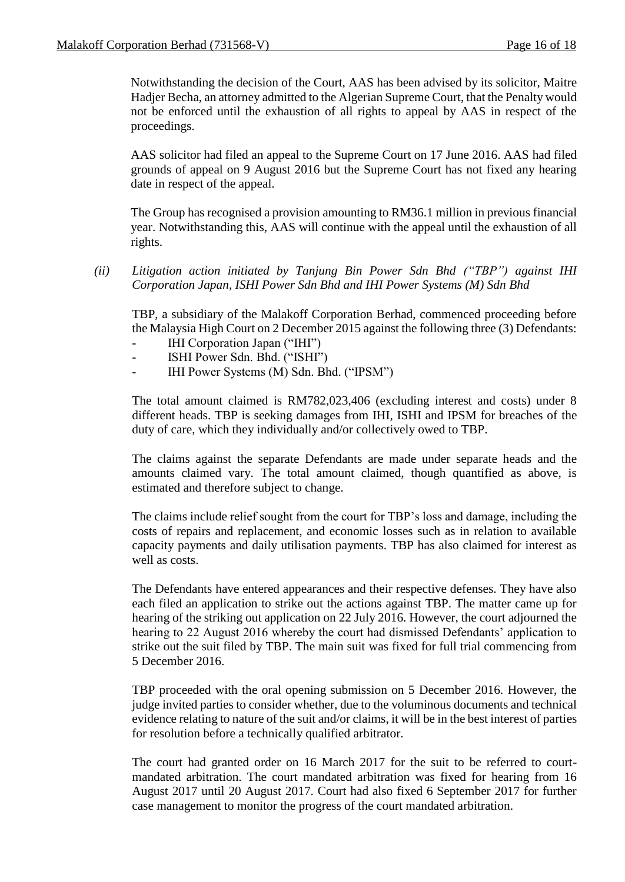Notwithstanding the decision of the Court, AAS has been advised by its solicitor, Maitre Hadjer Becha, an attorney admitted to the Algerian Supreme Court, that the Penalty would not be enforced until the exhaustion of all rights to appeal by AAS in respect of the proceedings.

AAS solicitor had filed an appeal to the Supreme Court on 17 June 2016. AAS had filed grounds of appeal on 9 August 2016 but the Supreme Court has not fixed any hearing date in respect of the appeal.

The Group has recognised a provision amounting to RM36.1 million in previous financial year. Notwithstanding this, AAS will continue with the appeal until the exhaustion of all rights.

*(ii) Litigation action initiated by Tanjung Bin Power Sdn Bhd ("TBP") against IHI Corporation Japan, ISHI Power Sdn Bhd and IHI Power Systems (M) Sdn Bhd*

TBP, a subsidiary of the Malakoff Corporation Berhad, commenced proceeding before the Malaysia High Court on 2 December 2015 against the following three (3) Defendants:

- IHI Corporation Japan ("IHI")
- ISHI Power Sdn. Bhd. ("ISHI")
- IHI Power Systems (M) Sdn. Bhd. ("IPSM")

The total amount claimed is RM782,023,406 (excluding interest and costs) under 8 different heads. TBP is seeking damages from IHI, ISHI and IPSM for breaches of the duty of care, which they individually and/or collectively owed to TBP.

The claims against the separate Defendants are made under separate heads and the amounts claimed vary. The total amount claimed, though quantified as above, is estimated and therefore subject to change.

The claims include relief sought from the court for TBP's loss and damage, including the costs of repairs and replacement, and economic losses such as in relation to available capacity payments and daily utilisation payments. TBP has also claimed for interest as well as costs.

The Defendants have entered appearances and their respective defenses. They have also each filed an application to strike out the actions against TBP. The matter came up for hearing of the striking out application on 22 July 2016. However, the court adjourned the hearing to 22 August 2016 whereby the court had dismissed Defendants' application to strike out the suit filed by TBP. The main suit was fixed for full trial commencing from 5 December 2016.

TBP proceeded with the oral opening submission on 5 December 2016. However, the judge invited parties to consider whether, due to the voluminous documents and technical evidence relating to nature of the suit and/or claims, it will be in the best interest of parties for resolution before a technically qualified arbitrator.

The court had granted order on 16 March 2017 for the suit to be referred to courtmandated arbitration. The court mandated arbitration was fixed for hearing from 16 August 2017 until 20 August 2017. Court had also fixed 6 September 2017 for further case management to monitor the progress of the court mandated arbitration.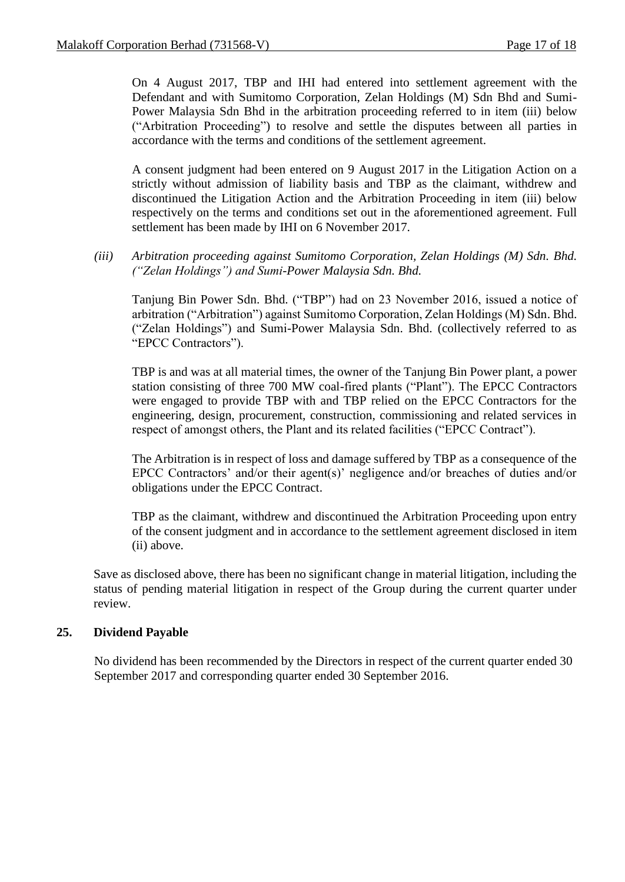On 4 August 2017, TBP and IHI had entered into settlement agreement with the Defendant and with Sumitomo Corporation, Zelan Holdings (M) Sdn Bhd and Sumi-Power Malaysia Sdn Bhd in the arbitration proceeding referred to in item (iii) below ("Arbitration Proceeding") to resolve and settle the disputes between all parties in accordance with the terms and conditions of the settlement agreement.

A consent judgment had been entered on 9 August 2017 in the Litigation Action on a strictly without admission of liability basis and TBP as the claimant, withdrew and discontinued the Litigation Action and the Arbitration Proceeding in item (iii) below respectively on the terms and conditions set out in the aforementioned agreement. Full settlement has been made by IHI on 6 November 2017.

*(iii) Arbitration proceeding against Sumitomo Corporation, Zelan Holdings (M) Sdn. Bhd. ("Zelan Holdings") and Sumi-Power Malaysia Sdn. Bhd.*

Tanjung Bin Power Sdn. Bhd. ("TBP") had on 23 November 2016, issued a notice of arbitration ("Arbitration") against Sumitomo Corporation, Zelan Holdings (M) Sdn. Bhd. ("Zelan Holdings") and Sumi-Power Malaysia Sdn. Bhd. (collectively referred to as "EPCC Contractors").

TBP is and was at all material times, the owner of the Tanjung Bin Power plant, a power station consisting of three 700 MW coal-fired plants ("Plant"). The EPCC Contractors were engaged to provide TBP with and TBP relied on the EPCC Contractors for the engineering, design, procurement, construction, commissioning and related services in respect of amongst others, the Plant and its related facilities ("EPCC Contract").

The Arbitration is in respect of loss and damage suffered by TBP as a consequence of the EPCC Contractors' and/or their agent(s)' negligence and/or breaches of duties and/or obligations under the EPCC Contract.

TBP as the claimant, withdrew and discontinued the Arbitration Proceeding upon entry of the consent judgment and in accordance to the settlement agreement disclosed in item (ii) above.

Save as disclosed above, there has been no significant change in material litigation, including the status of pending material litigation in respect of the Group during the current quarter under review.

## **25. Dividend Payable**

No dividend has been recommended by the Directors in respect of the current quarter ended 30 September 2017 and corresponding quarter ended 30 September 2016.